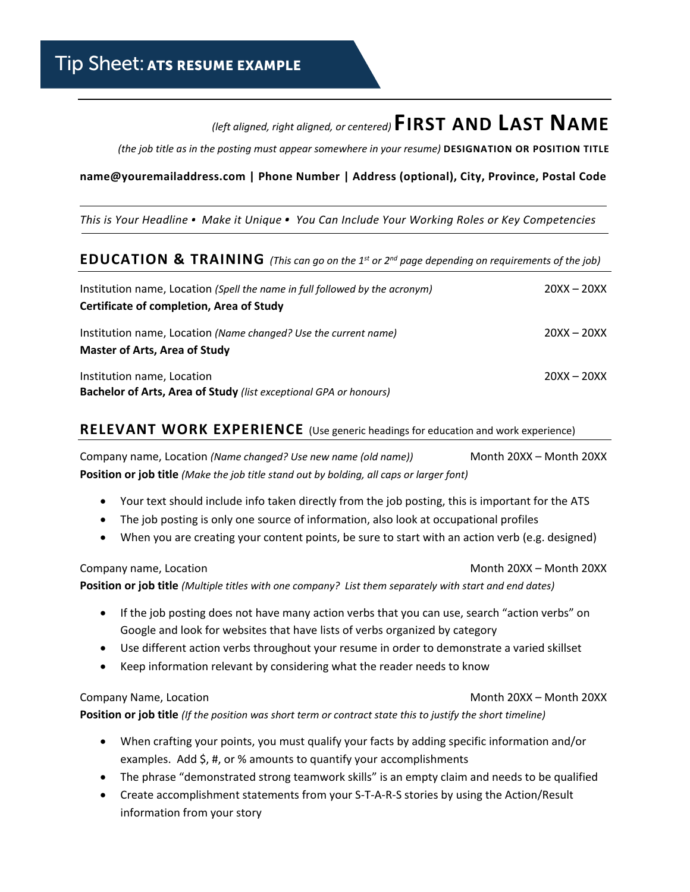# *(left aligned, right aligned, or centered)***FIRST AND LAST NAME**

*(the job title as in the posting must appear somewhere in your resume)* **DESIGNATION OR POSITION TITLE**

#### **name@youremailaddress.com | Phone Number | Address (optional), City, Province, Postal Code**

*This is Your Headline . Make it Unique . You Can Include Your Working Roles or Key Competencies*

## **EDUCATION & TRAINING** *(This can go on the 1st or 2nd page depending on requirements of the job)*

| Institution name, Location (Spell the name in full followed by the acronym)<br>Certificate of completion, Area of Study | $20XX - 20XX$ |  |
|-------------------------------------------------------------------------------------------------------------------------|---------------|--|
| Institution name, Location (Name changed? Use the current name)<br><b>Master of Arts, Area of Study</b>                 | $20XX - 20XX$ |  |
| Institution name, Location<br>Bachelor of Arts, Area of Study (list exceptional GPA or honours)                         | $20XX - 20XX$ |  |

## **RELEVANT WORK EXPERIENCE** (Use generic headings for education and work experience)

Company name, Location *(Name changed? Use new name (old name))* Month 20XX – Month 20XX **Position or job title** *(Make the job title stand out by bolding, all caps or larger font)*

- Your text should include info taken directly from the job posting, this is important for the ATS
- The job posting is only one source of information, also look at occupational profiles
- When you are creating your content points, be sure to start with an action verb (e.g. designed)

Company name, Location **Month 20XX** – Month 20XX – Month 20XX **Position or job title** *(Multiple titles with one company? List them separately with start and end dates)*

- If the job posting does not have many action verbs that you can use, search "action verbs" on Google and look for websites that have lists of verbs organized by category
- Use different action verbs throughout your resume in order to demonstrate a varied skillset
- Keep information relevant by considering what the reader needs to know

#### Company Name, Location **Month 20XX** – Month 20XX – Month 20XX

**Position or job title** *(If the position was short term or contract state this to justify the short timeline)*

- When crafting your points, you must qualify your facts by adding specific information and/or examples. Add \$, #, or % amounts to quantify your accomplishments
- The phrase "demonstrated strong teamwork skills" is an empty claim and needs to be qualified
- Create accomplishment statements from your S-T-A-R-S stories by using the Action/Result information from your story